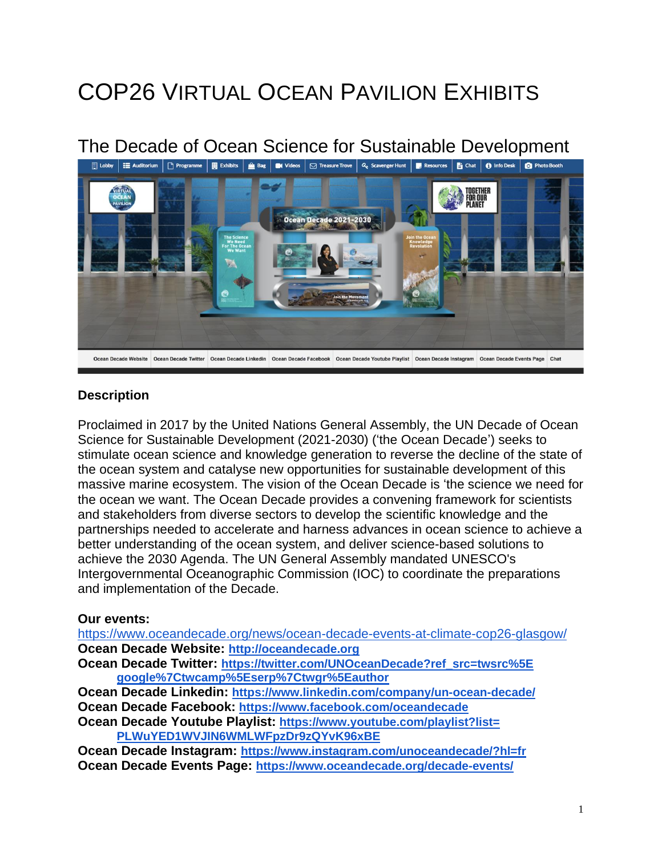# COP26 VIRTUAL OCEAN PAVILION EXHIBITS

# The Decade of Ocean Science for Sustainable Development



#### **Description**

Proclaimed in 2017 by the United Nations General Assembly, the UN Decade of Ocean Science for Sustainable Development (2021-2030) ('the Ocean Decade') seeks to stimulate ocean science and knowledge generation to reverse the decline of the state of the ocean system and catalyse new opportunities for sustainable development of this massive marine ecosystem. The vision of the Ocean Decade is 'the science we need for the ocean we want. The Ocean Decade provides a convening framework for scientists and stakeholders from diverse sectors to develop the scientific knowledge and the partnerships needed to accelerate and harness advances in ocean science to achieve a better understanding of the ocean system, and deliver science-based solutions to achieve the 2030 Agenda. The UN General Assembly mandated UNESCO's Intergovernmental Oceanographic Commission (IOC) to coordinate the preparations and implementation of the Decade.

#### **Our events:**

<https://www.oceandecade.org/news/ocean-decade-events-at-climate-cop26-glasgow/> **Ocean Decade Website: [http://oceandecade.org](http://oceandecade.org/)**

**Ocean Decade Twitter: [https://twitter.com/UNOceanDecade?ref\\_src=twsrc%5E](https://twitter.com/UNOceanDecade?ref_src=twsrc%255Egoogle%257Ctwcamp%255Eserp%257Ctwgr%255Eauthor) google%7Ctwcamp%5Eserp%7Ctwgr%5Eauthor**

**Ocean Decade Linkedin: <https://www.linkedin.com/company/un-ocean-decade/> Ocean Decade Facebook: <https://www.facebook.com/oceandecade>**

**Ocean Decade Youtube Playlist: [https://www.youtube.com/playlist?list=](https://www.youtube.com/playlist?list=PLWuYED1WVJIN6WMLWFpzDr9zQYvK96xBE) PLWuYED1WVJIN6WMLWFpzDr9zQYvK96xBE**

**Ocean Decade Instagram: <https://www.instagram.com/unoceandecade/?hl=fr> Ocean Decade Events Page: <https://www.oceandecade.org/decade-events/>**